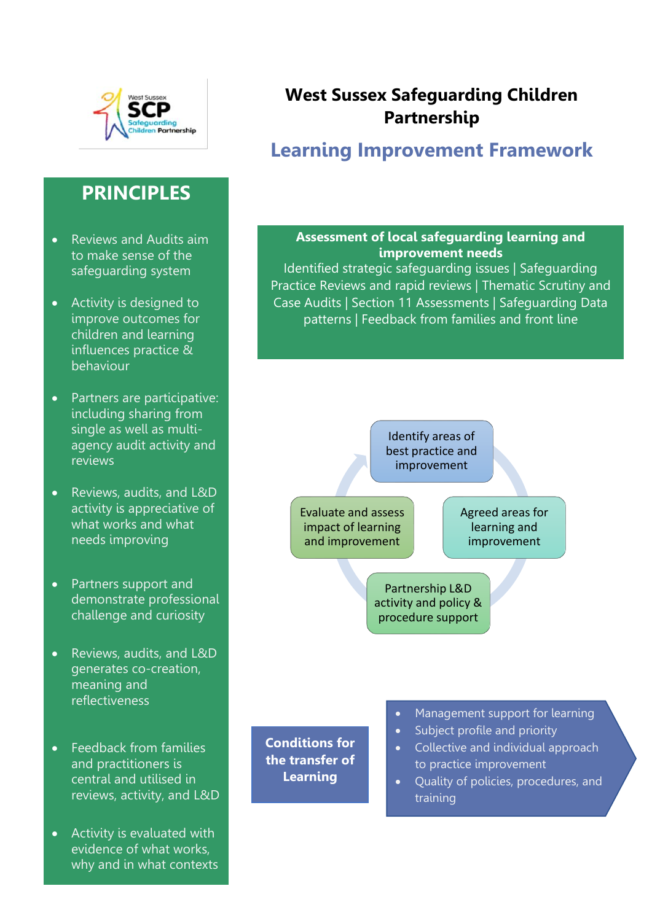

## **PRINCIPLES**

- Reviews and Audits aim to make sense of the safeguarding system
- Activity is designed to improve outcomes for children and learning influences practice & behaviour
- Partners are participative: including sharing from single as well as multiagency audit activity and reviews
- Reviews, audits, and L&D activity is appreciative of what works and what needs improving
- Partners support and demonstrate professional challenge and curiosity
- • Reviews, audits, and L&D generates co-creation, meaning and reflectiveness
- Feedback from families and practitioners is central and utilised in reviews, activity, and L&D
- Activity is evaluated with evidence of what works, why and in what contexts

## **West Sussex Safeguarding Children Partnership**

# **Learning Improvement Framework**

#### **Assessment of local safeguarding learning and improvement needs**

Identified strategic safeguarding issues | Safeguarding Practice Reviews and rapid reviews | Thematic Scrutiny and Case Audits | Section 11 Assessments | Safeguarding Data patterns | Feedback from families and front line



• Quality of policies, procedures, and training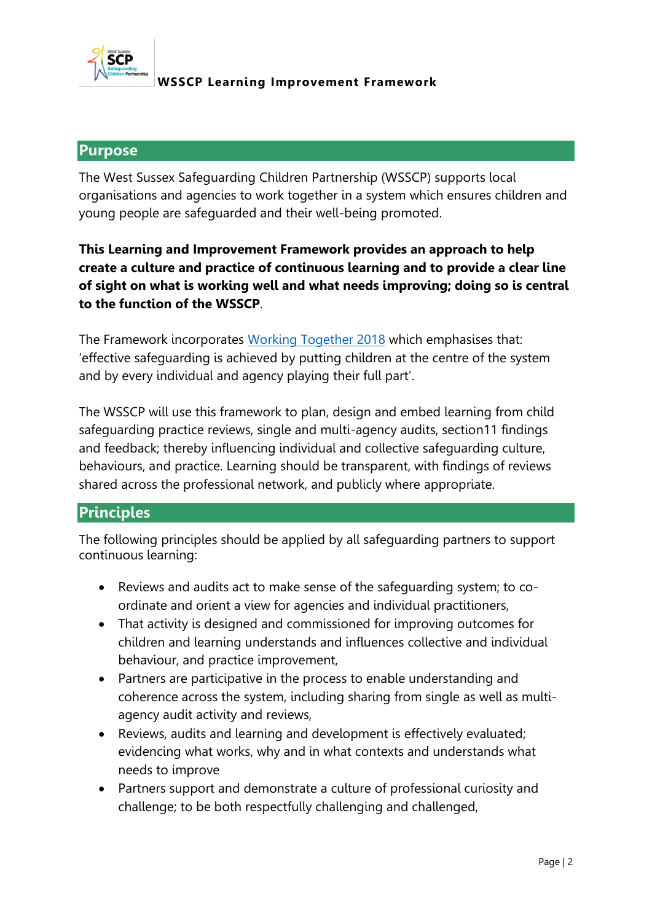

#### **Purpose**

The West Sussex Safeguarding Children Partnership (WSSCP) supports local organisations and agencies to work together in a system which ensures children and young people are safeguarded and their well-being promoted.

## **This Learning and Improvement Framework provides an approach to help create a culture and practice of continuous learning and to provide a clear line of sight on what is working well and what needs improving; doing so is central to the function of the WSSCP**.

The Framework incorporates [Working Together 2018](https://www.gov.uk/government/publications/working-together-to-safeguard-children--2) which emphasises that: 'effective safeguarding is achieved by putting children at the centre of the system and by every individual and agency playing their full part'.

The WSSCP will use this framework to plan, design and embed learning from child safeguarding practice reviews, single and multi-agency audits, section11 findings and feedback; thereby influencing individual and collective safeguarding culture, behaviours, and practice. Learning should be transparent, with findings of reviews shared across the professional network, and publicly where appropriate.

## **Principles**

The following principles should be applied by all safeguarding partners to support continuous learning:

- Reviews and audits act to make sense of the safeguarding system; to coordinate and orient a view for agencies and individual practitioners,
- That activity is designed and commissioned for improving outcomes for children and learning understands and influences collective and individual behaviour, and practice improvement,
- Partners are participative in the process to enable understanding and coherence across the system, including sharing from single as well as multiagency audit activity and reviews,
- Reviews, audits and learning and development is effectively evaluated; evidencing what works, why and in what contexts and understands what needs to improve
- Partners support and demonstrate a culture of professional curiosity and challenge; to be both respectfully challenging and challenged,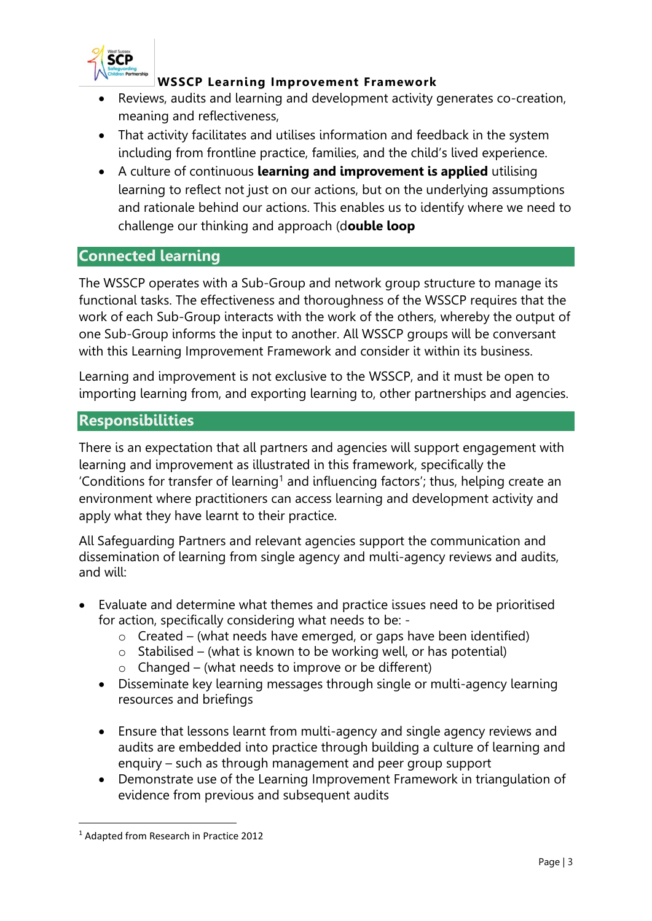

- Reviews, audits and learning and development activity generates co-creation, meaning and reflectiveness,
- That activity facilitates and utilises information and feedback in the system including from frontline practice, families, and the child's lived experience.
- A culture of continuous **learning and improvement is applied** utilising learning to reflect not just on our actions, but on the underlying assumptions and rationale behind our actions. This enables us to identify where we need to challenge our thinking and approach (d**ouble loop**

#### **Connected learning**

The WSSCP operates with a Sub-Group and network group structure to manage its functional tasks. The effectiveness and thoroughness of the WSSCP requires that the work of each Sub-Group interacts with the work of the others, whereby the output of one Sub-Group informs the input to another. All WSSCP groups will be conversant with this Learning Improvement Framework and consider it within its business.

Learning and improvement is not exclusive to the WSSCP, and it must be open to importing learning from, and exporting learning to, other partnerships and agencies.

### **Responsibilities**

There is an expectation that all partners and agencies will support engagement with learning and improvement as illustrated in this framework, specifically the 'Conditions for transfer of learning<sup>1</sup> and influencing factors'; thus, helping create an environment where practitioners can access learning and development activity and apply what they have learnt to their practice.

All Safeguarding Partners and relevant agencies support the communication and dissemination of learning from single agency and multi-agency reviews and audits, and will:

- Evaluate and determine what themes and practice issues need to be prioritised for action, specifically considering what needs to be: -
	- $\circ$  Created (what needs have emerged, or gaps have been identified)
	- $\circ$  Stabilised (what is known to be working well, or has potential)
	- $\circ$  Changed (what needs to improve or be different)
	- Disseminate key learning messages through single or multi-agency learning resources and briefings
	- Ensure that lessons learnt from multi-agency and single agency reviews and audits are embedded into practice through building a culture of learning and enquiry – such as through management and peer group support
	- Demonstrate use of the Learning Improvement Framework in triangulation of evidence from previous and subsequent audits

<sup>1</sup> Adapted from Research in Practice 2012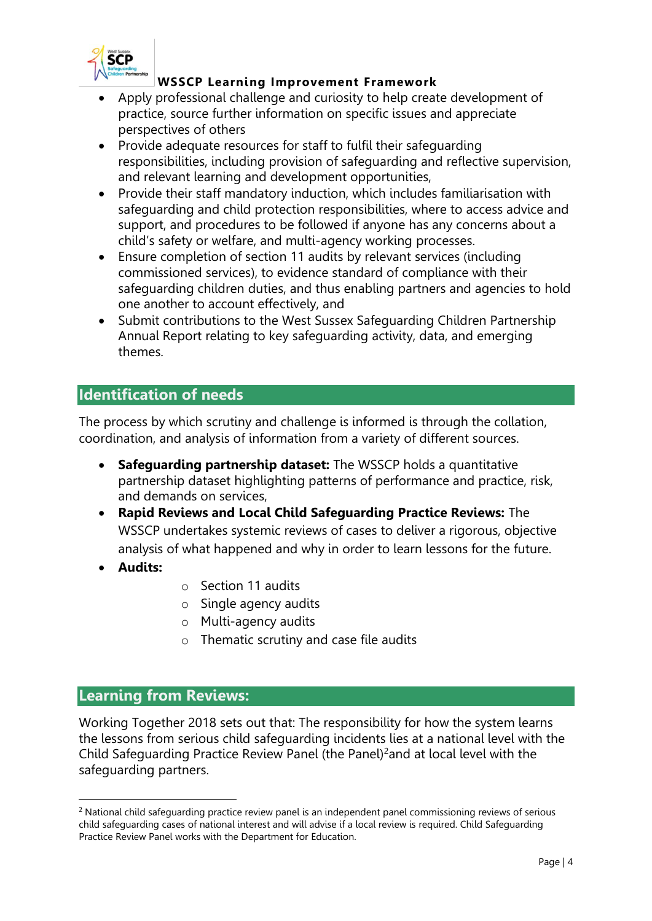

- Apply professional challenge and curiosity to help create development of practice, source further information on specific issues and appreciate perspectives of others
- Provide adequate resources for staff to fulfil their safeguarding responsibilities, including provision of safeguarding and reflective supervision, and relevant learning and development opportunities,
- Provide their staff mandatory induction, which includes familiarisation with safeguarding and child protection responsibilities, where to access advice and support, and procedures to be followed if anyone has any concerns about a child's safety or welfare, and multi-agency working processes.
- Ensure completion of section 11 audits by relevant services (including commissioned services), to evidence standard of compliance with their safeguarding children duties, and thus enabling partners and agencies to hold one another to account effectively, and
- Submit contributions to the West Sussex Safeguarding Children Partnership Annual Report relating to key safeguarding activity, data, and emerging themes.

## **Identification of needs**

The process by which scrutiny and challenge is informed is through the collation, coordination, and analysis of information from a variety of different sources.

- **Safeguarding partnership dataset:** The WSSCP holds a quantitative partnership dataset highlighting patterns of performance and practice, risk, and demands on services,
- **Rapid Reviews and Local Child Safeguarding Practice Reviews:** The WSSCP undertakes systemic reviews of cases to deliver a rigorous, objective analysis of what happened and why in order to learn lessons for the future.
- **Audits:**
- o Section 11 audits
- o Single agency audits
- o Multi-agency audits
- o Thematic scrutiny and case file audits

### **Learning from Reviews:**

Working Together 2018 sets out that: The responsibility for how the system learns the lessons from serious child safeguarding incidents lies at a national level with the Child Safeguarding Practice Review Panel (the Panel)<sup>2</sup>and at local level with the safeguarding partners.

<sup>&</sup>lt;sup>2</sup> National child safeguarding practice review panel is an independent panel commissioning reviews of serious child safeguarding cases of national interest and will advise if a local review is required. Child Safeguarding Practice Review Panel works with the Department for Education.